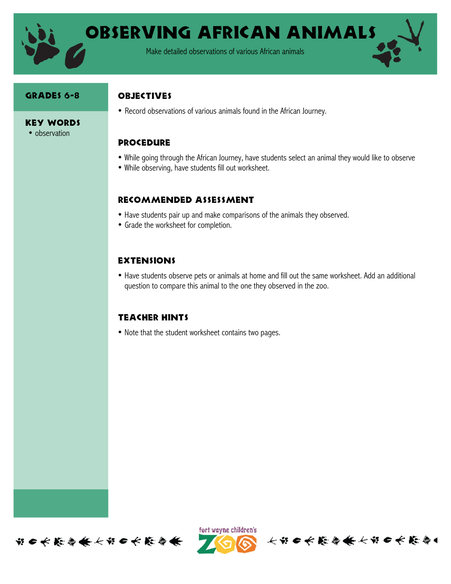

Observing African Animals

Make detailed observations of various African animals

#### GRADES 6-8

#### **OBJECTIVES**

• Record observations of various animals found in the African Journey.

### **PROCEDURE**

- While going through the African Journey, have students select an animal they would like to observe
- While observing, have students fill out worksheet.

## Recommended assessment

- Have students pair up and make comparisons of the animals they observed.
- Grade the worksheet for completion.

# **EXTENSIONS**

• Have students observe pets or animals at home and fill out the same worksheet. Add an additional question to compare this animal to the one they observed in the zoo.

## Teacher hints

• Note that the student worksheet contains two pages.





长节日长能与长长节日长能与

Key Words • observation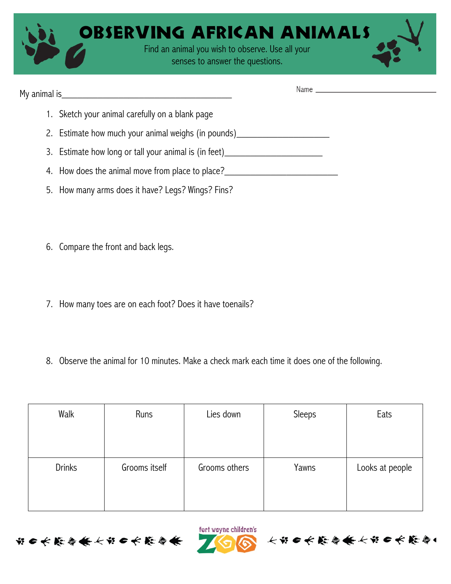| <b>OBSERVING AFRICAN ANIMALS</b>                                                    |  |  |  |
|-------------------------------------------------------------------------------------|--|--|--|
| Find an animal you wish to observe. Use all your<br>senses to answer the questions. |  |  |  |

| 1. Sketch your animal carefully on a blank page                                  |
|----------------------------------------------------------------------------------|
| 2. Estimate how much your animal weighs (in pounds) ____________________________ |
| 3. Estimate how long or tall your animal is (in feet)___________________________ |
| 4. How does the animal move from place to place?                                 |
| 5. How many arms does it have? Legs? Wings? Fins?                                |

- 6. Compare the front and back legs.
- 7. How many toes are on each foot? Does it have toenails?
- 8. Observe the animal for 10 minutes. Make a check mark each time it does one of the following.

| Walk          | Runs          | Lies down     | Sleeps | Eats            |
|---------------|---------------|---------------|--------|-----------------|
|               |               |               |        |                 |
|               |               |               |        |                 |
| <b>Drinks</b> | Grooms itself | Grooms others | Yawns  | Looks at people |
|               |               |               |        |                 |
|               |               |               |        |                 |

fort wayne children's

个出自长能停条长出自长能停!